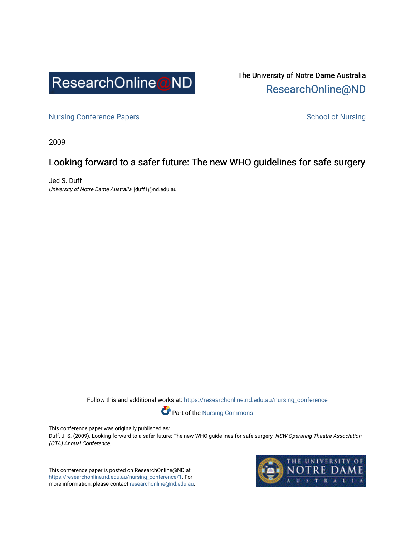

The University of Notre Dame Australia [ResearchOnline@ND](https://researchonline.nd.edu.au/) 

[Nursing Conference Papers](https://researchonline.nd.edu.au/nursing_conference) **School of Nursing** School of Nursing

2009

## Looking forward to a safer future: The new WHO guidelines for safe surgery

Jed S. Duff University of Notre Dame Australia, jduff1@nd.edu.au

Follow this and additional works at: [https://researchonline.nd.edu.au/nursing\\_conference](https://researchonline.nd.edu.au/nursing_conference?utm_source=researchonline.nd.edu.au%2Fnursing_conference%2F1&utm_medium=PDF&utm_campaign=PDFCoverPages) 

Part of the [Nursing Commons](http://network.bepress.com/hgg/discipline/718?utm_source=researchonline.nd.edu.au%2Fnursing_conference%2F1&utm_medium=PDF&utm_campaign=PDFCoverPages) 

This conference paper was originally published as:

Duff, J. S. (2009). Looking forward to a safer future: The new WHO guidelines for safe surgery. NSW Operating Theatre Association (OTA) Annual Conference.

This conference paper is posted on ResearchOnline@ND at [https://researchonline.nd.edu.au/nursing\\_conference/1](https://researchonline.nd.edu.au/nursing_conference/1). For more information, please contact [researchonline@nd.edu.au](mailto:researchonline@nd.edu.au).